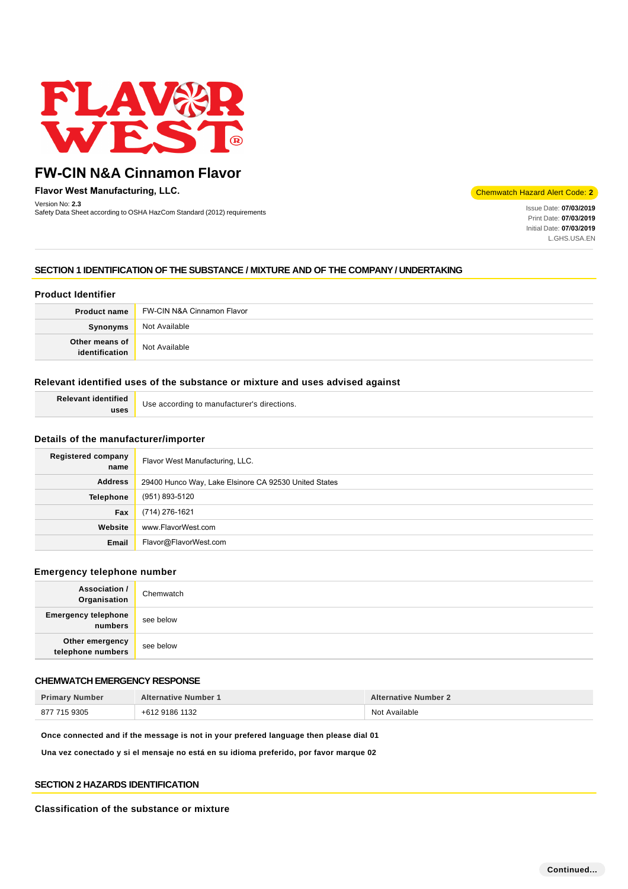

**Flavor West Manufacturing, LLC.**

Version No: **2.3** Safety Data Sheet according to OSHA HazCom Standard (2012) requirements Inc. **Inc. Community Data Sheet according to OSHA HazCom Standard (2012) requirements Inc. and Issue Date: <b>07/03/2019** Issue Date: **07/03/2019** 

Chemwatch Hazard Alert Code: **2**

Print Date: **07/03/2019**  Initial Date: **07/03/2019**  L.GHS.USA.EN

## **SECTION 1 IDENTIFICATION OF THE SUBSTANCE / MIXTURE AND OF THE COMPANY / UNDERTAKING**

## **Product Identifier**

| <b>Product name</b>              | <b>FW-CIN N&amp;A Cinnamon Flavor</b> |
|----------------------------------|---------------------------------------|
| Synonyms                         | Not Available                         |
| Other means of<br>identification | Not Available                         |

#### **Relevant identified uses of the substance or mixture and uses advised against**

| <b>Relevant identified</b> | Use according to manufacturer's directions. |
|----------------------------|---------------------------------------------|
| uses                       |                                             |

#### **Details of the manufacturer/importer**

| Registered company<br>name | Flavor West Manufacturing, LLC.                       |
|----------------------------|-------------------------------------------------------|
| <b>Address</b>             | 29400 Hunco Way, Lake Elsinore CA 92530 United States |
| Telephone                  | (951) 893-5120                                        |
| Fax                        | (714) 276-1621                                        |
| Website                    | www.FlavorWest.com                                    |
| Email                      | Flavor@FlavorWest.com                                 |

#### **Emergency telephone number**

| <b>Association /</b><br>Organisation  | Chemwatch |
|---------------------------------------|-----------|
| <b>Emergency telephone</b><br>numbers | see below |
| Other emergency<br>telephone numbers  | see below |

## **CHEMWATCH EMERGENCY RESPONSE**

| <b>Primary Number</b> | <b>Alternative Number 1</b> | <b>Alternative Number 2</b> |
|-----------------------|-----------------------------|-----------------------------|
| 877 715 9305          | +612 9186 1132              | Not Available               |

**Once connected and if the message is not in your prefered language then please dial 01**

**Una vez conectado y si el mensaje no está en su idioma preferido, por favor marque 02**

#### **SECTION 2 HAZARDS IDENTIFICATION**

#### **Classification of the substance or mixture**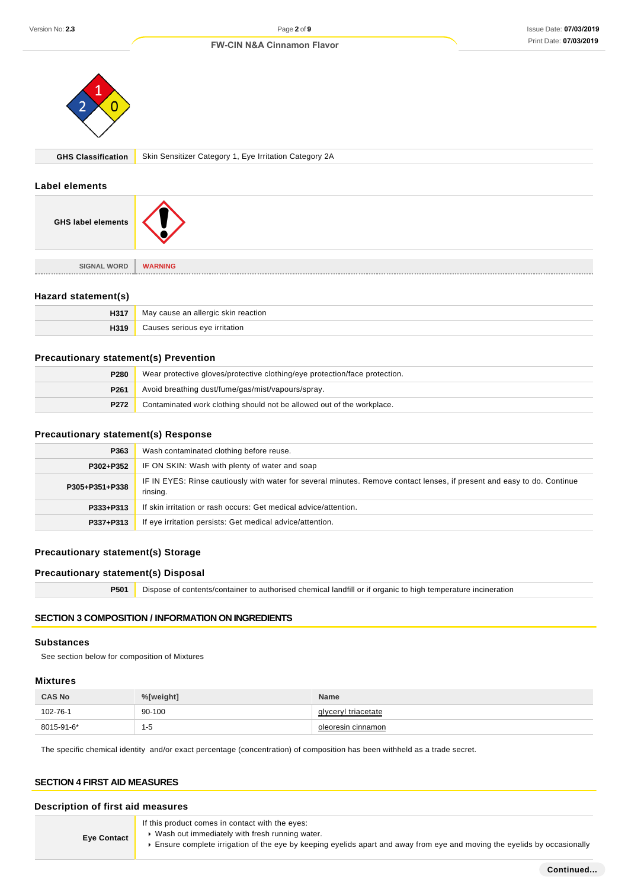

**GHS Classification** Skin Sensitizer Category 1, Eye Irritation Category 2A

#### **Label elements**

| <b>GHS label elements</b> |                |
|---------------------------|----------------|
|                           |                |
| <b>SIGNAL WORD</b>        | <b>WARNING</b> |
|                           |                |

## **Hazard statement(s)**

| H317 | v cause an allergic skin reaction.<br>May |
|------|-------------------------------------------|
|      | eve irritation                            |

#### **Precautionary statement(s) Prevention**

| P280             | Wear protective gloves/protective clothing/eye protection/face protection. |  |
|------------------|----------------------------------------------------------------------------|--|
| P <sub>261</sub> | Avoid breathing dust/fume/gas/mist/vapours/spray.                          |  |
| P272             | Contaminated work clothing should not be allowed out of the workplace.     |  |

## **Precautionary statement(s) Response**

| P363           | Wash contaminated clothing before reuse.                                                                                            |
|----------------|-------------------------------------------------------------------------------------------------------------------------------------|
| P302+P352      | IF ON SKIN: Wash with plenty of water and soap                                                                                      |
| P305+P351+P338 | IF IN EYES: Rinse cautiously with water for several minutes. Remove contact lenses, if present and easy to do. Continue<br>rinsing. |
| P333+P313      | If skin irritation or rash occurs: Get medical advice/attention.                                                                    |
| P337+P313      | If eye irritation persists: Get medical advice/attention.                                                                           |

## **Precautionary statement(s) Storage**

## **Precautionary statement(s) Disposal**

**P501** Dispose of contents/container to authorised chemical landfill or if organic to high temperature incineration

## **SECTION 3 COMPOSITION / INFORMATION ON INGREDIENTS**

#### **Substances**

See section below for composition of Mixtures

#### **Mixtures**

| <b>CAS No</b> | %[weight] | <b>Name</b>         |
|---------------|-----------|---------------------|
| 102-76-1      | 90-100    | glyceryl triacetate |
| 8015-91-6*    | -5        | oleoresin cinnamon  |

The specific chemical identity and/or exact percentage (concentration) of composition has been withheld as a trade secret.

#### **SECTION 4 FIRST AID MEASURES**

## **Description of first aid measures**

If this product comes in contact with the eyes:

**Eye Contact**

- Wash out immediately with fresh running water.
- **Ensure complete irrigation of the eye by keeping eyelids apart and away from eye and moving the eyelids by occasionally**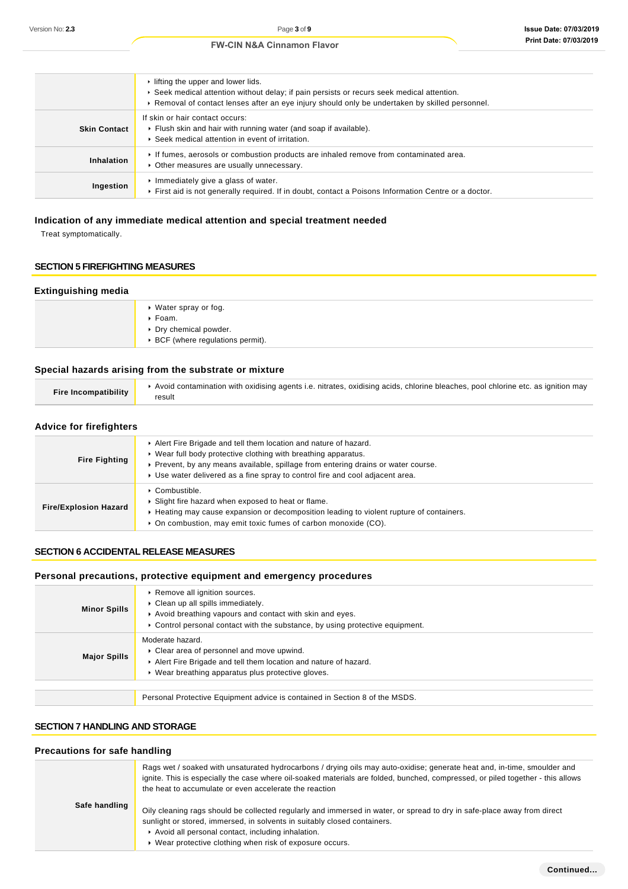#### $\blacktriangleright$  lifting the upper and lower lids. Seek medical attention without delay; if pain persists or recurs seek medical attention. Removal of contact lenses after an eye injury should only be undertaken by skilled personnel. **Skin Contact** If skin or hair contact occurs: Flush skin and hair with running water (and soap if available). Seek medical attention in event of irritation. **Inhalation** If fumes, aerosols or combustion products are inhaled remove from contaminated area. Other measures are usually unnecessary. **Ingestion**  $\blacktriangleright$  Immediately give a glass of water. First aid is not generally required. If in doubt, contact a Poisons Information Centre or a doctor.

## **Indication of any immediate medical attention and special treatment needed**

Treat symptomatically.

## **SECTION 5 FIREFIGHTING MEASURES**

#### **Extinguishing media**

| ▶ Water spray or fog.                            |
|--------------------------------------------------|
| $\triangleright$ Foam.                           |
| ▶ Dry chemical powder.                           |
| $\triangleright$ BCF (where regulations permit). |
|                                                  |

## **Special hazards arising from the substrate or mixture**

| Fire Incompatibility | Avoid contamination with oxidising agents i.e. nitrates, oxidising acids, chlorine bleaches, pool chlorine etc. as ignition may |
|----------------------|---------------------------------------------------------------------------------------------------------------------------------|
|                      | result                                                                                                                          |

### **Advice for firefighters**

| <b>Fire Fighting</b>                                                                                                                                                                                                                                                             | Alert Fire Brigade and tell them location and nature of hazard.<br>▶ Wear full body protective clothing with breathing apparatus.<br>► Prevent, by any means available, spillage from entering drains or water course.<br>► Use water delivered as a fine spray to control fire and cool adjacent area. |  |  |  |
|----------------------------------------------------------------------------------------------------------------------------------------------------------------------------------------------------------------------------------------------------------------------------------|---------------------------------------------------------------------------------------------------------------------------------------------------------------------------------------------------------------------------------------------------------------------------------------------------------|--|--|--|
| $\triangleright$ Combustible.<br>Slight fire hazard when exposed to heat or flame.<br><b>Fire/Explosion Hazard</b><br>► Heating may cause expansion or decomposition leading to violent rupture of containers.<br>• On combustion, may emit toxic fumes of carbon monoxide (CO). |                                                                                                                                                                                                                                                                                                         |  |  |  |

## **SECTION 6 ACCIDENTAL RELEASE MEASURES**

#### **Personal precautions, protective equipment and emergency procedures**

| <b>Minor Spills</b> | Remove all ignition sources.<br>Clean up all spills immediately.<br>Avoid breathing vapours and contact with skin and eyes.<br>► Control personal contact with the substance, by using protective equipment. |
|---------------------|--------------------------------------------------------------------------------------------------------------------------------------------------------------------------------------------------------------|
| <b>Major Spills</b> | Moderate hazard.<br>Clear area of personnel and move upwind.<br>Alert Fire Brigade and tell them location and nature of hazard.<br>• Wear breathing apparatus plus protective gloves.                        |
|                     | Personal Protective Equipment advice is contained in Section 8 of the MSDS.                                                                                                                                  |

## **SECTION 7 HANDLING AND STORAGE**

### **Precautions for safe handling**

|               | Rags wet / soaked with unsaturated hydrocarbons / drying oils may auto-oxidise; generate heat and, in-time, smoulder and<br>ignite. This is especially the case where oil-soaked materials are folded, bunched, compressed, or piled together - this allows<br>the heat to accumulate or even accelerate the reaction |
|---------------|-----------------------------------------------------------------------------------------------------------------------------------------------------------------------------------------------------------------------------------------------------------------------------------------------------------------------|
| Safe handling | Oily cleaning rags should be collected regularly and immersed in water, or spread to dry in safe-place away from direct<br>sunlight or stored, immersed, in solvents in suitably closed containers.<br>Avoid all personal contact, including inhalation.<br>▶ Wear protective clothing when risk of exposure occurs.  |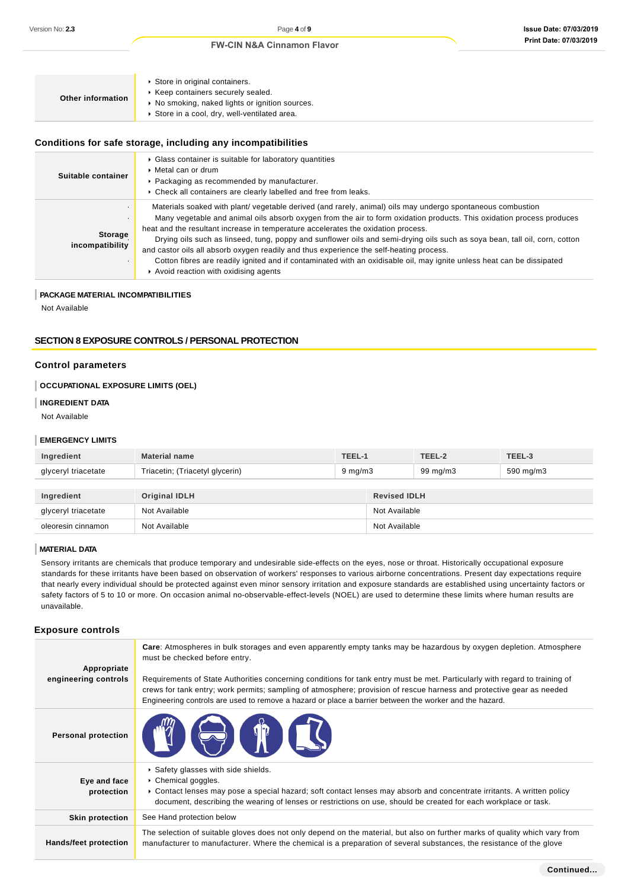| Store in original containers.<br>▶ Keep containers securely sealed.<br>Other information<br>▶ No smoking, naked lights or ignition sources.<br>Store in a cool, dry, well-ventilated area. |  |
|--------------------------------------------------------------------------------------------------------------------------------------------------------------------------------------------|--|
|--------------------------------------------------------------------------------------------------------------------------------------------------------------------------------------------|--|

#### **Conditions for safe storage, including any incompatibilities**

| Suitable container         | • Glass container is suitable for laboratory quantities<br>$\triangleright$ Metal can or drum<br>• Packaging as recommended by manufacturer.<br>Check all containers are clearly labelled and free from leaks.                                                                                                                                                                                                                                                                                                                                                                                                                                                                                                      |
|----------------------------|---------------------------------------------------------------------------------------------------------------------------------------------------------------------------------------------------------------------------------------------------------------------------------------------------------------------------------------------------------------------------------------------------------------------------------------------------------------------------------------------------------------------------------------------------------------------------------------------------------------------------------------------------------------------------------------------------------------------|
| Storage<br>incompatibility | Materials soaked with plant/vegetable derived (and rarely, animal) oils may undergo spontaneous combustion<br>Many vegetable and animal oils absorb oxygen from the air to form oxidation products. This oxidation process produces<br>heat and the resultant increase in temperature accelerates the oxidation process.<br>Drying oils such as linseed, tung, poppy and sunflower oils and semi-drying oils such as soya bean, tall oil, corn, cotton<br>and castor oils all absorb oxygen readily and thus experience the self-heating process.<br>Cotton fibres are readily ignited and if contaminated with an oxidisable oil, may ignite unless heat can be dissipated<br>Avoid reaction with oxidising agents |

## **PACKAGE MATERIAL INCOMPATIBILITIES**

Not Available

### **SECTION 8 EXPOSURE CONTROLS / PERSONAL PROTECTION**

## **Control parameters**

## **OCCUPATIONAL EXPOSURE LIMITS (OEL)**

#### **INGREDIENT DATA**

Not Available

#### **EMERGENCY LIMITS**

| Ingredient          | <b>Material name</b>            | TEEL-1           |                     | TEEL-2   | TEEL-3    |
|---------------------|---------------------------------|------------------|---------------------|----------|-----------|
| glyceryl triacetate | Triacetin; (Triacetyl glycerin) | $9 \text{ mg/m}$ |                     | 99 mg/m3 | 590 mg/m3 |
|                     |                                 |                  |                     |          |           |
| Ingredient          | <b>Original IDLH</b>            |                  | <b>Revised IDLH</b> |          |           |
| glyceryl triacetate | Not Available                   |                  | Not Available       |          |           |
| oleoresin cinnamon  | Not Available                   |                  | Not Available       |          |           |

#### **MATERIAL DATA**

Sensory irritants are chemicals that produce temporary and undesirable side-effects on the eyes, nose or throat. Historically occupational exposure standards for these irritants have been based on observation of workers' responses to various airborne concentrations. Present day expectations require that nearly every individual should be protected against even minor sensory irritation and exposure standards are established using uncertainty factors or safety factors of 5 to 10 or more. On occasion animal no-observable-effect-levels (NOEL) are used to determine these limits where human results are unavailable.

#### **Exposure controls**

| Appropriate<br>engineering controls | Care: Atmospheres in bulk storages and even apparently empty tanks may be hazardous by oxygen depletion. Atmosphere<br>must be checked before entry.<br>Requirements of State Authorities concerning conditions for tank entry must be met. Particularly with regard to training of<br>crews for tank entry; work permits; sampling of atmosphere; provision of rescue harness and protective gear as needed<br>Engineering controls are used to remove a hazard or place a barrier between the worker and the hazard. |
|-------------------------------------|------------------------------------------------------------------------------------------------------------------------------------------------------------------------------------------------------------------------------------------------------------------------------------------------------------------------------------------------------------------------------------------------------------------------------------------------------------------------------------------------------------------------|
| <b>Personal protection</b>          | BOTH ES                                                                                                                                                                                                                                                                                                                                                                                                                                                                                                                |
| Eye and face<br>protection          | Safety glasses with side shields.<br>▶ Chemical goggles.<br>► Contact lenses may pose a special hazard; soft contact lenses may absorb and concentrate irritants. A written policy<br>document, describing the wearing of lenses or restrictions on use, should be created for each workplace or task.                                                                                                                                                                                                                 |
| <b>Skin protection</b>              | See Hand protection below                                                                                                                                                                                                                                                                                                                                                                                                                                                                                              |
| Hands/feet protection               | The selection of suitable gloves does not only depend on the material, but also on further marks of quality which vary from<br>manufacturer to manufacturer. Where the chemical is a preparation of several substances, the resistance of the glove                                                                                                                                                                                                                                                                    |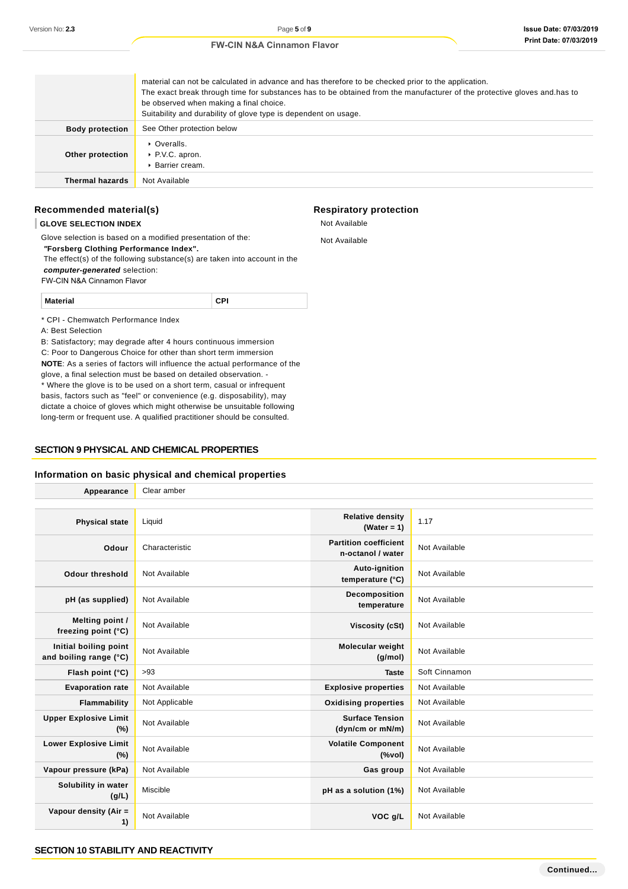## material can not be calculated in advance and has therefore to be checked prior to the application. The exact break through time for substances has to be obtained from the manufacturer of the protective gloves and.has to be observed when making a final choice. Suitability and durability of glove type is dependent on usage. **Body protection** See Other protection below **Other protection** ▶ Overalls. ▶ P.V.C. apron. Barrier cream. **Thermal hazards** Not Available

## **Recommended material(s)**

#### **GLOVE SELECTION INDEX**

Glove selection is based on a modified presentation of the:  **"Forsberg Clothing Performance Index".** The effect(s) of the following substance(s) are taken into account in the **computer-generated** selection: FW-CIN N&A Cinnamon Flavor

**Material CPI**

\* CPI - Chemwatch Performance Index

A: Best Selection

B: Satisfactory; may degrade after 4 hours continuous immersion C: Poor to Dangerous Choice for other than short term immersion **NOTE**: As a series of factors will influence the actual performance of the glove, a final selection must be based on detailed observation. - \* Where the glove is to be used on a short term, casual or infrequent basis, factors such as "feel" or convenience (e.g. disposability), may dictate a choice of gloves which might otherwise be unsuitable following long-term or frequent use. A qualified practitioner should be consulted.

### **SECTION 9 PHYSICAL AND CHEMICAL PROPERTIES**

#### **Information on basic physical and chemical properties**

| Appearance                                      | Clear amber    |                                                                               |               |  |  |
|-------------------------------------------------|----------------|-------------------------------------------------------------------------------|---------------|--|--|
|                                                 |                |                                                                               |               |  |  |
| <b>Physical state</b>                           | Liquid         | <b>Relative density</b><br>(Water = $1$ )                                     | 1.17          |  |  |
| Odour                                           | Characteristic | <b>Partition coefficient</b><br>n-octanol / water                             | Not Available |  |  |
| <b>Odour threshold</b>                          | Not Available  | Auto-ignition<br>temperature (°C)                                             | Not Available |  |  |
| pH (as supplied)                                | Not Available  | Decomposition<br>temperature                                                  | Not Available |  |  |
| Melting point /<br>freezing point (°C)          | Not Available  | Viscosity (cSt)                                                               | Not Available |  |  |
| Initial boiling point<br>and boiling range (°C) | Not Available  | Molecular weight<br>(g/mol)                                                   | Not Available |  |  |
| Flash point (°C)                                | >93            | <b>Taste</b>                                                                  | Soft Cinnamon |  |  |
| <b>Evaporation rate</b>                         | Not Available  | <b>Explosive properties</b>                                                   | Not Available |  |  |
| Flammability                                    | Not Applicable | <b>Oxidising properties</b>                                                   | Not Available |  |  |
| <b>Upper Explosive Limit</b><br>(%)             | Not Available  | <b>Surface Tension</b><br>(dyn/cm or mN/m)                                    | Not Available |  |  |
| <b>Lower Explosive Limit</b><br>(%)             | Not Available  | <b>Volatile Component</b><br>$(% \mathcal{L}^{\prime }\mathcal{N}^{\prime })$ | Not Available |  |  |
| Vapour pressure (kPa)                           | Not Available  | Gas group                                                                     | Not Available |  |  |
| Solubility in water<br>(g/L)                    | Miscible       | pH as a solution (1%)                                                         | Not Available |  |  |
| Vapour density (Air =<br>1)                     | Not Available  | VOC g/L                                                                       | Not Available |  |  |

#### **SECTION 10 STABILITY AND REACTIVITY**

## **Respiratory protection** Not Available

Not Available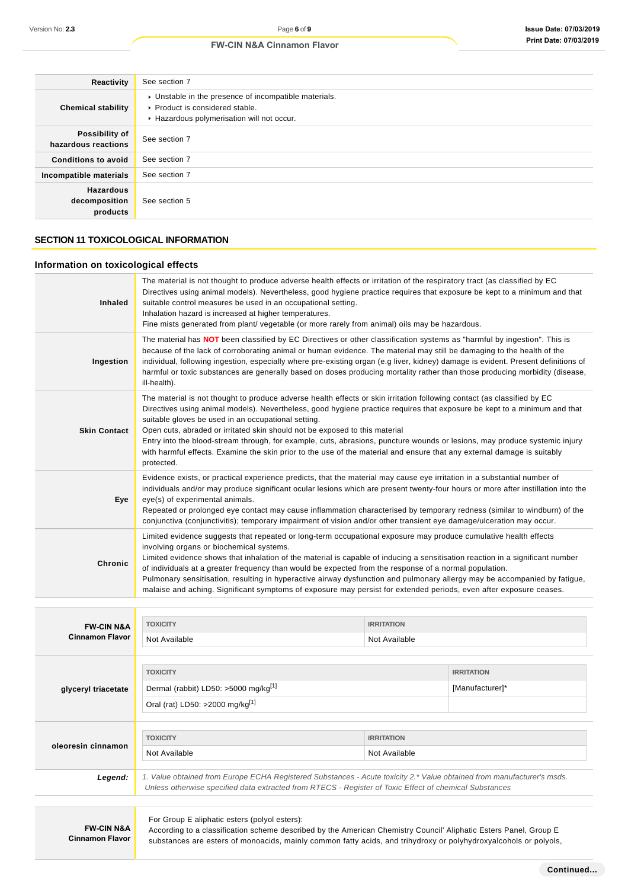| Reactivity                                    | See section 7                                                                                                                        |
|-----------------------------------------------|--------------------------------------------------------------------------------------------------------------------------------------|
| <b>Chemical stability</b>                     | • Unstable in the presence of incompatible materials.<br>▶ Product is considered stable.<br>Hazardous polymerisation will not occur. |
| Possibility of<br>hazardous reactions         | See section 7                                                                                                                        |
| <b>Conditions to avoid</b>                    | See section 7                                                                                                                        |
| Incompatible materials                        | See section 7                                                                                                                        |
| <b>Hazardous</b><br>decomposition<br>products | See section 5                                                                                                                        |

## **SECTION 11 TOXICOLOGICAL INFORMATION**

## **Information on toxicological effects**

| <b>Inhaled</b>      | The material is not thought to produce adverse health effects or irritation of the respiratory tract (as classified by EC<br>Directives using animal models). Nevertheless, good hygiene practice requires that exposure be kept to a minimum and that<br>suitable control measures be used in an occupational setting.<br>Inhalation hazard is increased at higher temperatures.<br>Fine mists generated from plant/vegetable (or more rarely from animal) oils may be hazardous.                                                                                                                                                                                |
|---------------------|-------------------------------------------------------------------------------------------------------------------------------------------------------------------------------------------------------------------------------------------------------------------------------------------------------------------------------------------------------------------------------------------------------------------------------------------------------------------------------------------------------------------------------------------------------------------------------------------------------------------------------------------------------------------|
| Ingestion           | The material has <b>NOT</b> been classified by EC Directives or other classification systems as "harmful by ingestion". This is<br>because of the lack of corroborating animal or human evidence. The material may still be damaging to the health of the<br>individual, following ingestion, especially where pre-existing organ (e.g liver, kidney) damage is evident. Present definitions of<br>harmful or toxic substances are generally based on doses producing mortality rather than those producing morbidity (disease,<br>ill-health).                                                                                                                   |
| <b>Skin Contact</b> | The material is not thought to produce adverse health effects or skin irritation following contact (as classified by EC<br>Directives using animal models). Nevertheless, good hygiene practice requires that exposure be kept to a minimum and that<br>suitable gloves be used in an occupational setting.<br>Open cuts, abraded or irritated skin should not be exposed to this material<br>Entry into the blood-stream through, for example, cuts, abrasions, puncture wounds or lesions, may produce systemic injury<br>with harmful effects. Examine the skin prior to the use of the material and ensure that any external damage is suitably<br>protected. |
| Eye                 | Evidence exists, or practical experience predicts, that the material may cause eye irritation in a substantial number of<br>individuals and/or may produce significant ocular lesions which are present twenty-four hours or more after instillation into the<br>eye(s) of experimental animals.<br>Repeated or prolonged eye contact may cause inflammation characterised by temporary redness (similar to windburn) of the<br>conjunctiva (conjunctivitis); temporary impairment of vision and/or other transient eye damage/ulceration may occur.                                                                                                              |
| Chronic             | Limited evidence suggests that repeated or long-term occupational exposure may produce cumulative health effects<br>involving organs or biochemical systems.<br>Limited evidence shows that inhalation of the material is capable of inducing a sensitisation reaction in a significant number<br>of individuals at a greater frequency than would be expected from the response of a normal population.<br>Pulmonary sensitisation, resulting in hyperactive airway dysfunction and pulmonary allergy may be accompanied by fatigue,<br>malaise and aching. Significant symptoms of exposure may persist for extended periods, even after exposure ceases.       |

| <b>FW-CIN N&amp;A</b>  | <b>TOXICITY</b>                                                                                                                                                                             | <b>IRRITATION</b> |                   |  |
|------------------------|---------------------------------------------------------------------------------------------------------------------------------------------------------------------------------------------|-------------------|-------------------|--|
| <b>Cinnamon Flavor</b> | Not Available                                                                                                                                                                               | Not Available     |                   |  |
|                        |                                                                                                                                                                                             |                   |                   |  |
|                        | <b>TOXICITY</b>                                                                                                                                                                             |                   | <b>IRRITATION</b> |  |
|                        |                                                                                                                                                                                             |                   |                   |  |
| glyceryl triacetate    | Dermal (rabbit) LD50: >5000 mg/kg <sup>[1]</sup>                                                                                                                                            |                   | [Manufacturer]*   |  |
|                        | Oral (rat) LD50: >2000 mg/kg <sup>[1]</sup>                                                                                                                                                 |                   |                   |  |
|                        |                                                                                                                                                                                             |                   |                   |  |
|                        |                                                                                                                                                                                             |                   |                   |  |
| oleoresin cinnamon     | <b>TOXICITY</b><br><b>IRRITATION</b>                                                                                                                                                        |                   |                   |  |
|                        | Not Available<br>Not Available                                                                                                                                                              |                   |                   |  |
|                        |                                                                                                                                                                                             |                   |                   |  |
| Legend:                | 1. Value obtained from Europe ECHA Registered Substances - Acute toxicity 2.* Value obtained from manufacturer's msds.                                                                      |                   |                   |  |
|                        | Unless otherwise specified data extracted from RTECS - Register of Toxic Effect of chemical Substances                                                                                      |                   |                   |  |
|                        |                                                                                                                                                                                             |                   |                   |  |
|                        | For Group E aliphatic esters (polyol esters):<br><b>FW-CIN N&amp;A</b><br>According to a classification scheme described by the American Chemistry Council' Aliphatic Esters Panel, Group E |                   |                   |  |
|                        |                                                                                                                                                                                             |                   |                   |  |
| <b>Cinnamon Flavor</b> |                                                                                                                                                                                             |                   |                   |  |
|                        | substances are esters of monoacids, mainly common fatty acids, and trihydroxy or polyhydroxyalcohols or polyols,                                                                            |                   |                   |  |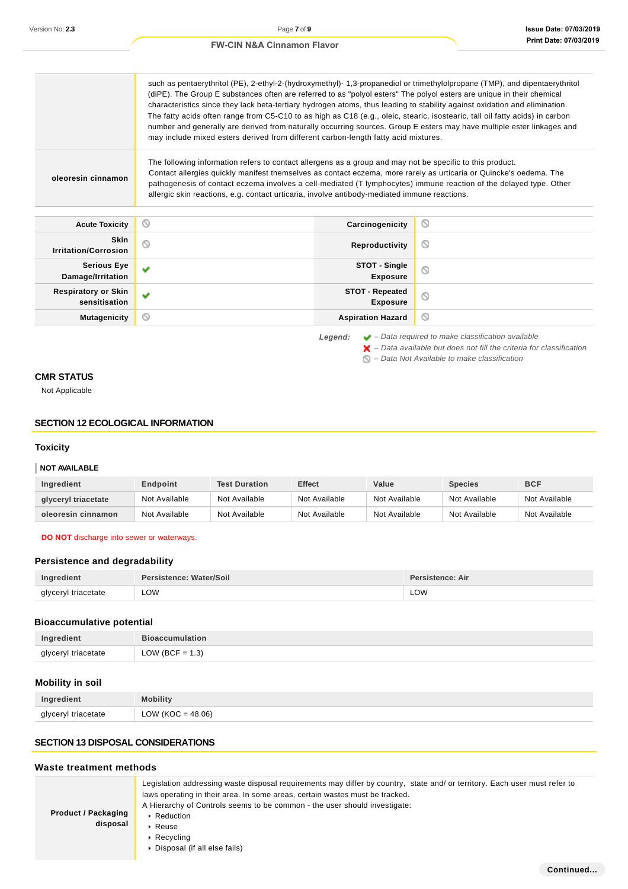|                                             | such as pentaerythritol (PE), 2-ethyl-2-(hydroxymethyl)- 1,3-propanediol or trimethylolpropane (TMP), and dipentaerythritol<br>(diPE). The Group E substances often are referred to as "polyol esters" The polyol esters are unique in their chemical<br>characteristics since they lack beta-tertiary hydrogen atoms, thus leading to stability against oxidation and elimination.<br>The fatty acids often range from C5-C10 to as high as C18 (e.g., oleic, stearic, isostearic, tall oil fatty acids) in carbon<br>number and generally are derived from naturally occurring sources. Group E esters may have multiple ester linkages and<br>may include mixed esters derived from different carbon-length fatty acid mixtures. |                                           |         |
|---------------------------------------------|-------------------------------------------------------------------------------------------------------------------------------------------------------------------------------------------------------------------------------------------------------------------------------------------------------------------------------------------------------------------------------------------------------------------------------------------------------------------------------------------------------------------------------------------------------------------------------------------------------------------------------------------------------------------------------------------------------------------------------------|-------------------------------------------|---------|
| oleoresin cinnamon                          | The following information refers to contact allergens as a group and may not be specific to this product.<br>Contact allergies quickly manifest themselves as contact eczema, more rarely as urticaria or Quincke's oedema. The<br>pathogenesis of contact eczema involves a cell-mediated (T lymphocytes) immune reaction of the delayed type. Other<br>allergic skin reactions, e.g. contact urticaria, involve antibody-mediated immune reactions.                                                                                                                                                                                                                                                                               |                                           |         |
| <b>Acute Toxicity</b>                       | Q                                                                                                                                                                                                                                                                                                                                                                                                                                                                                                                                                                                                                                                                                                                                   | Carcinogenicity                           | O       |
| <b>Skin</b><br><b>Irritation/Corrosion</b>  | Q                                                                                                                                                                                                                                                                                                                                                                                                                                                                                                                                                                                                                                                                                                                                   | Reproductivity                            | O       |
| <b>Serious Eye</b><br>Damage/Irritation     | v                                                                                                                                                                                                                                                                                                                                                                                                                                                                                                                                                                                                                                                                                                                                   | STOT - Single<br><b>Exposure</b>          | $\circ$ |
| <b>Respiratory or Skin</b><br>sensitisation | v                                                                                                                                                                                                                                                                                                                                                                                                                                                                                                                                                                                                                                                                                                                                   | <b>STOT - Repeated</b><br><b>Exposure</b> | $\circ$ |
| <b>Mutagenicity</b>                         | Q                                                                                                                                                                                                                                                                                                                                                                                                                                                                                                                                                                                                                                                                                                                                   | <b>Aspiration Hazard</b>                  | O       |

**Legend:** – Data required to make classification available

 $\blacktriangleright$  – Data available but does not fill the criteria for classification

 $\bigcirc$  – Data Not Available to make classification

## **CMR STATUS**

Not Applicable

## **SECTION 12 ECOLOGICAL INFORMATION**

## **Toxicity**

#### **NOT AVAILABLE**

| Ingredient          | Endpoint      | <b>Test Duration</b> | <b>Effect</b> | Value         | <b>Species</b> | <b>BCF</b>    |
|---------------------|---------------|----------------------|---------------|---------------|----------------|---------------|
| glyceryl triacetate | Not Available | Not Available        | Not Available | Not Available | Not Available  | Not Available |
| oleoresin cinnamon  | Not Available | Not Available        | Not Available | Not Available | Not Available  | Not Available |

**DO NOT** discharge into sewer or waterways.

## **Persistence and degradability**

| Ingredient          | Persistence: Water/Soil | <b>Persistence: Air</b> |
|---------------------|-------------------------|-------------------------|
| glyceryl triacetate | LOW<br>___              | LOW                     |

## **Bioaccumulative potential**

| Ingredient          | <b>Bioaccumulation</b> |
|---------------------|------------------------|
| glyceryl triacetate | LOW (BCF = $1.3$ )     |

## **Mobility in soil**

| Ingredient          | <b>Mobility</b>     |
|---------------------|---------------------|
| glyceryl triacetate | $LOW (KOC = 48.06)$ |

## **SECTION 13 DISPOSAL CONSIDERATIONS**

## **Waste treatment methods**

| <b>Product / Packaging</b><br>disposal | Legislation addressing waste disposal requirements may differ by country, state and/ or territory. Each user must refer to<br>laws operating in their area. In some areas, certain wastes must be tracked.<br>A Hierarchy of Controls seems to be common - the user should investigate:<br>▶ Reduction<br>$\triangleright$ Reuse<br>$\triangleright$ Recycling<br>• Disposal (if all else fails) |
|----------------------------------------|--------------------------------------------------------------------------------------------------------------------------------------------------------------------------------------------------------------------------------------------------------------------------------------------------------------------------------------------------------------------------------------------------|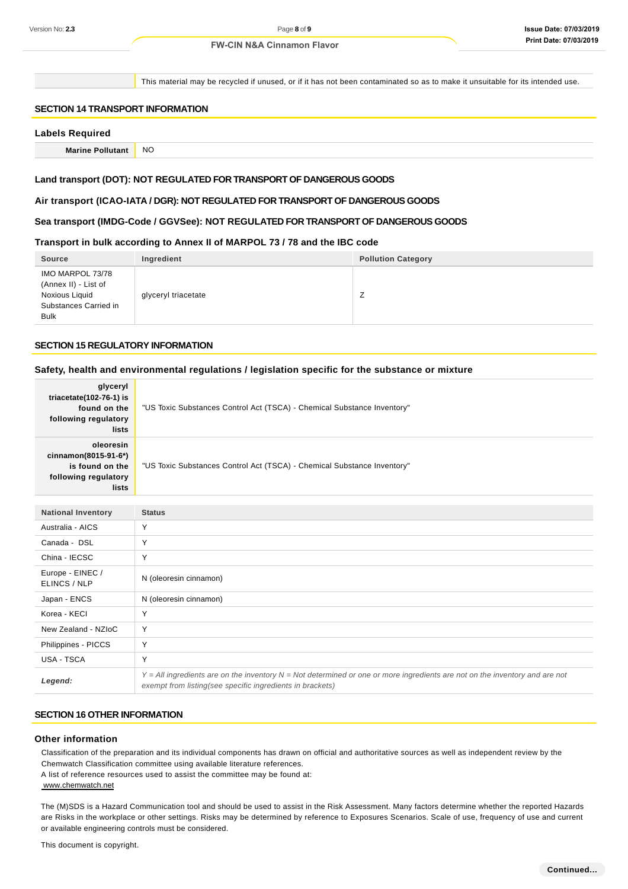This material may be recycled if unused, or if it has not been contaminated so as to make it unsuitable for its intended use.

## **SECTION 14 TRANSPORT INFORMATION**

#### **Labels Required**

**Marine Pollutant** NO

#### **Land transport (DOT): NOT REGULATED FOR TRANSPORT OF DANGEROUS GOODS**

#### **Air transport (ICAO-IATA / DGR): NOT REGULATED FOR TRANSPORT OF DANGEROUS GOODS**

#### **Sea transport (IMDG-Code / GGVSee): NOT REGULATED FOR TRANSPORT OF DANGEROUS GOODS**

#### **Transport in bulk according to Annex II of MARPOL 73 / 78 and the IBC code**

| <b>Source</b>                                                                                      | Ingredient          | <b>Pollution Category</b> |
|----------------------------------------------------------------------------------------------------|---------------------|---------------------------|
| IMO MARPOL 73/78<br>(Annex II) - List of<br>Noxious Liquid<br>Substances Carried in<br><b>Bulk</b> | glyceryl triacetate |                           |

#### **SECTION 15 REGULATORY INFORMATION**

#### **Safety, health and environmental regulations / legislation specific for the substance or mixture**

| glyceryl<br>triacetate(102-76-1) is<br>found on the<br>following regulatory<br>lists  | "US Toxic Substances Control Act (TSCA) - Chemical Substance Inventory" |
|---------------------------------------------------------------------------------------|-------------------------------------------------------------------------|
| oleoresin<br>cinnamon(8015-91-6*)<br>is found on the<br>following regulatory<br>lists | "US Toxic Substances Control Act (TSCA) - Chemical Substance Inventory" |

| <b>National Inventory</b>        | <b>Status</b>                                                                                                                                                                                |
|----------------------------------|----------------------------------------------------------------------------------------------------------------------------------------------------------------------------------------------|
| Australia - AICS                 | $\checkmark$                                                                                                                                                                                 |
| Canada - DSL                     | Υ                                                                                                                                                                                            |
| China - IECSC                    | Υ                                                                                                                                                                                            |
| Europe - EINEC /<br>ELINCS / NLP | N (oleoresin cinnamon)                                                                                                                                                                       |
| Japan - ENCS                     | N (oleoresin cinnamon)                                                                                                                                                                       |
| Korea - KECI                     | $\checkmark$                                                                                                                                                                                 |
| New Zealand - NZIoC              | Υ                                                                                                                                                                                            |
| Philippines - PICCS              | Υ                                                                                                                                                                                            |
| USA - TSCA                       | Υ                                                                                                                                                                                            |
| Legend:                          | $Y = All$ ingredients are on the inventory $N = Not$ determined or one or more ingredients are not on the inventory and are not<br>exempt from listing(see specific ingredients in brackets) |

#### **SECTION 16 OTHER INFORMATION**

#### **Other information**

Classification of the preparation and its individual components has drawn on official and authoritative sources as well as independent review by the Chemwatch Classification committee using available literature references. A list of reference resources used to assist the committee may be found at: www.chemwatch.net

The (M)SDS is a Hazard Communication tool and should be used to assist in the Risk Assessment. Many factors determine whether the reported Hazards are Risks in the workplace or other settings. Risks may be determined by reference to Exposures Scenarios. Scale of use, frequency of use and current or available engineering controls must be considered.

This document is copyright.